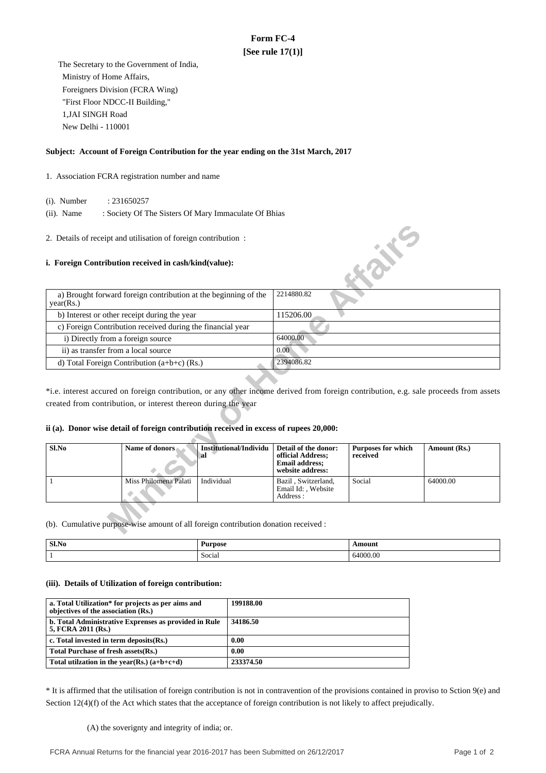# **Form FC-4 [See rule 17(1)]**

 The Secretary to the Government of India, Ministry of Home Affairs, Foreigners Division (FCRA Wing) "First Floor NDCC-II Building," 1,JAI SINGH Road New Delhi - 110001

## **Subject: Account of Foreign Contribution for the year ending on the 31st March, 2017**

- 1. Association FCRA registration number and name
	- (i). Number : 231650257
	- (ii). Name : Society Of The Sisters Of Mary Immaculate Of Bhias

## **i. Foreign Contribution received in cash/kind(value):**

| 2. Details of receipt and utilisation of foreign contribution:                      |                                                                                                                                                          |                                            |                                                                                        |                                       |                                                                                                                                       |
|-------------------------------------------------------------------------------------|----------------------------------------------------------------------------------------------------------------------------------------------------------|--------------------------------------------|----------------------------------------------------------------------------------------|---------------------------------------|---------------------------------------------------------------------------------------------------------------------------------------|
|                                                                                     | i. Foreign Contribution received in cash/kind(value):                                                                                                    |                                            |                                                                                        | <b>KONE</b>                           |                                                                                                                                       |
| a) Brought forward foreign contribution at the beginning of the<br>year(Rs.)        |                                                                                                                                                          |                                            | 2214880.82                                                                             |                                       |                                                                                                                                       |
| b) Interest or other receipt during the year                                        |                                                                                                                                                          |                                            | 115206.00                                                                              |                                       |                                                                                                                                       |
| c) Foreign Contribution received during the financial year                          |                                                                                                                                                          |                                            |                                                                                        |                                       |                                                                                                                                       |
| i) Directly from a foreign source                                                   |                                                                                                                                                          |                                            | 64000.00                                                                               |                                       |                                                                                                                                       |
| ii) as transfer from a local source                                                 |                                                                                                                                                          |                                            | 0.00                                                                                   |                                       |                                                                                                                                       |
|                                                                                     | d) Total Foreign Contribution $(a+b+c)$ (Rs.)                                                                                                            |                                            | 2394086.82                                                                             |                                       |                                                                                                                                       |
|                                                                                     | created from contribution, or interest thereon during the year<br>ii (a). Donor wise detail of foreign contribution received in excess of rupees 20,000: |                                            |                                                                                        |                                       | *i.e. interest accured on foreign contribution, or any other income derived from foreign contribution, e.g. sale proceeds from assets |
| $Sl$ .No                                                                            | Name of donors                                                                                                                                           | <b>Institutional/Individu</b><br><b>al</b> | Detail of the donor:<br>official Address;<br><b>Email address:</b><br>website address: | <b>Purposes for which</b><br>received | Amount (Rs.)                                                                                                                          |
| $\mathbf{1}$                                                                        | Miss Philomena Palati                                                                                                                                    | Individual                                 | Bazil, Switzerland,<br>Email Id:, Website<br>Address:                                  | Social                                | 64000.00                                                                                                                              |
| (b). Cumulative purpose-wise amount of all foreign contribution donation received : |                                                                                                                                                          |                                            |                                                                                        |                                       |                                                                                                                                       |

## **ii (a). Donor wise detail of foreign contribution received in excess of rupees 20,000:**

| Sl.No | Name of donors        | Institutional/Individu<br>-al | Detail of the donor:<br>official Address;<br><b>Email address;</b><br>website address: | <b>Purposes for which</b><br>received | Amount (Rs.) |
|-------|-----------------------|-------------------------------|----------------------------------------------------------------------------------------|---------------------------------------|--------------|
|       | Miss Philomena Palati | Individual                    | Bazil, Switzerland,<br>Email Id: . Website<br>Address :                                | Social                                | 64000.00     |

| Sl.No | <b>Purpose</b> | `moun.   |
|-------|----------------|----------|
|       | Social         | 64000.00 |

### **(iii). Details of Utilization of foreign contribution:**

| a. Total Utilization* for projects as per aims and<br>objectives of the association (Rs.) | 199188.00 |
|-------------------------------------------------------------------------------------------|-----------|
| b. Total Administrative Exprenses as provided in Rule<br>5, FCRA 2011 (Rs.)               | 34186.50  |
| c. Total invested in term deposits (Rs.)                                                  | 0.00      |
| Total Purchase of fresh assets (Rs.)                                                      | 0.00      |
| Total utilization in the year(Rs.) $(a+b+c+d)$                                            | 233374.50 |

\* It is affirmed that the utilisation of foreign contribution is not in contravention of the provisions contained in proviso to Sction 9(e) and Section 12(4)(f) of the Act which states that the acceptance of foreign contribution is not likely to affect prejudically.

### (A) the soverignty and integrity of india; or.